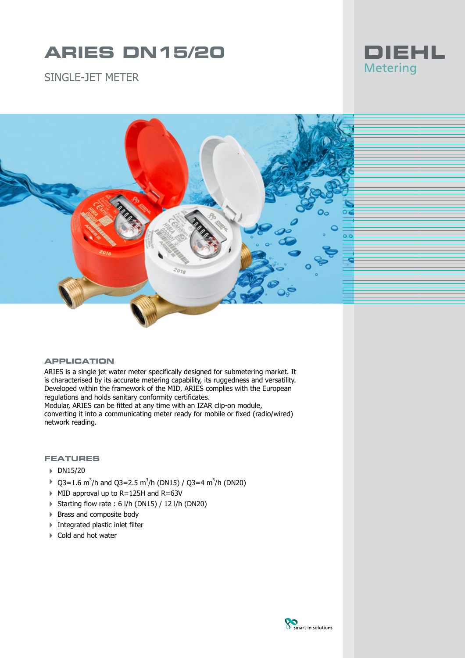# **ARIES DN15/20**



SINGLE-JFT METER



#### **APPLICATION**

ARIES is a single jet water meter specifically designed for submetering market. It is characterised by its accurate metering capability, its ruggedness and versatility. Developed within the framework of the MID, ARIES complies with the European regulations and holds sanitary conformity certificates.

Modular, ARIES can be fitted at any time with an IZAR clip-on module, converting it into a communicating meter ready for mobile or fixed (radio/wired) network reading.

#### **FEATURES**

- 4 DN15/20
- $\rightarrow$  Q3=1.6 m<sup>3</sup>/h and Q3=2.5 m<sup>3</sup>/h (DN15) / Q3=4 m<sup>3</sup>/h (DN20)
- $\blacktriangleright$  MID approval up to R=125H and R=63V
- $\triangleright$  Starting flow rate : 6 l/h (DN15) / 12 l/h (DN20)
- ▶ Brass and composite body
- 4 Integrated plastic inlet filter
- $\blacktriangleright$  Cold and hot water

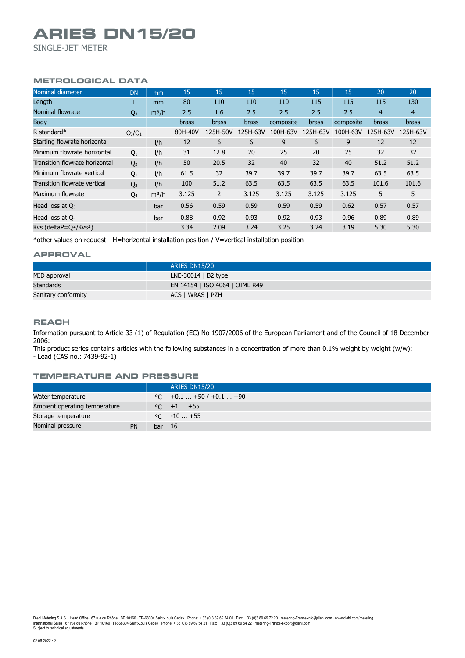# **ARIES DN15/20**

SINGLE-JET METER

# **METROLOGICAL DATA**

| Nominal diameter               | <b>DN</b>      | m <sub>m</sub> | 15      | 15           | 15           | 15        | 15           | 15        | 20           | 20             |
|--------------------------------|----------------|----------------|---------|--------------|--------------|-----------|--------------|-----------|--------------|----------------|
| Length                         | L              | mm             | 80      | 110          | 110          | 110       | 115          | 115       | 115          | 130            |
| <b>Nominal flowrate</b>        | $Q_3$          | $m^3/h$        | 2.5     | 1.6          | 2.5          | 2.5       | 2.5          | 2.5       | 4            | $\overline{4}$ |
| <b>Body</b>                    |                |                | brass   | <b>brass</b> | <b>brass</b> | composite | <b>brass</b> | composite | <b>brass</b> | <b>brass</b>   |
| R standard*                    | $Q_3/Q_1$      |                | 80H-40V | 125H-50V     | 125H-63V     | 100H-63V  | 125H-63V     | 100H-63V  | 125H-63V     | 125H-63V       |
| Starting flowrate horizontal   |                | I/h            | 12      | 6            | 6            | 9         | 6            | 9         | 12           | 12             |
| Minimum flowrate horizontal    | Q <sub>1</sub> | 1/h            | 31      | 12.8         | 20           | 25        | 20           | 25        | 32           | 32             |
| Transition flowrate horizontal | Q <sub>2</sub> | I/h            | 50      | 20.5         | 32           | 40        | 32           | 40        | 51.2         | 51.2           |
| Minimum flowrate vertical      | $Q_1$          | I/h            | 61.5    | 32           | 39.7         | 39.7      | 39.7         | 39.7      | 63.5         | 63.5           |
| Transition flowrate vertical   | Q <sub>2</sub> | 1/h            | 100     | 51.2         | 63.5         | 63.5      | 63.5         | 63.5      | 101.6        | 101.6          |
| Maximum flowrate               | Q <sub>4</sub> | $m^3/h$        | 3.125   | 2            | 3.125        | 3.125     | 3.125        | 3.125     | 5            | 5              |
| Head loss at $Q_3$             |                | bar            | 0.56    | 0.59         | 0.59         | 0.59      | 0.59         | 0.62      | 0.57         | 0.57           |
| Head loss at $Q_4$             |                | bar            | 0.88    | 0.92         | 0.93         | 0.92      | 0.93         | 0.96      | 0.89         | 0.89           |
| Kvs (delta $P=Q^2/KvS^2$ )     |                |                | 3.34    | 2.09         | 3.24         | 3.25      | 3.24         | 3.19      | 5.30         | 5.30           |

\*other values on request - H=horizontal installation position / V=vertical installation position

#### **APPROVAL**

|                     | ARIES DN15/20                  |
|---------------------|--------------------------------|
| MID approval        | LNE-30014 $\vert$ B2 type      |
| Standards           | EN 14154   ISO 4064   OIML R49 |
| Sanitary conformity | ACS   WRAS   PZH               |

#### **REACH**

Information pursuant to Article 33 (1) of Regulation (EC) No 1907/2006 of the European Parliament and of the Council of 18 December 2006:

This product series contains articles with the following substances in a concentration of more than 0.1% weight by weight (w/w): - Lead (CAS no.: 7439-92-1)

#### **TEMPERATURE AND PRESSURE**

|                               |    | ARIES DN15/20                     |
|-------------------------------|----|-----------------------------------|
| Water temperature             |    | $\degree$ C +0.1  +50 / +0.1  +90 |
| Ambient operating temperature |    | $\degree$ C +1  +55               |
| Storage temperature           |    | $\degree$ C $-10+55$              |
| Nominal pressure              | PN | bar 16                            |

Diehl Metering S.A.S. · Head Office · 67 rue du Rhône · BP 10160 · FR-68304 Saint-Louis Cedex · Phone: + 33 (0)3 89 69 54 00 · Fax: + 33 (0)3 89 69 72 20 · metering-France-info@diehl.com · www.diehl.com/metering<br>Internati